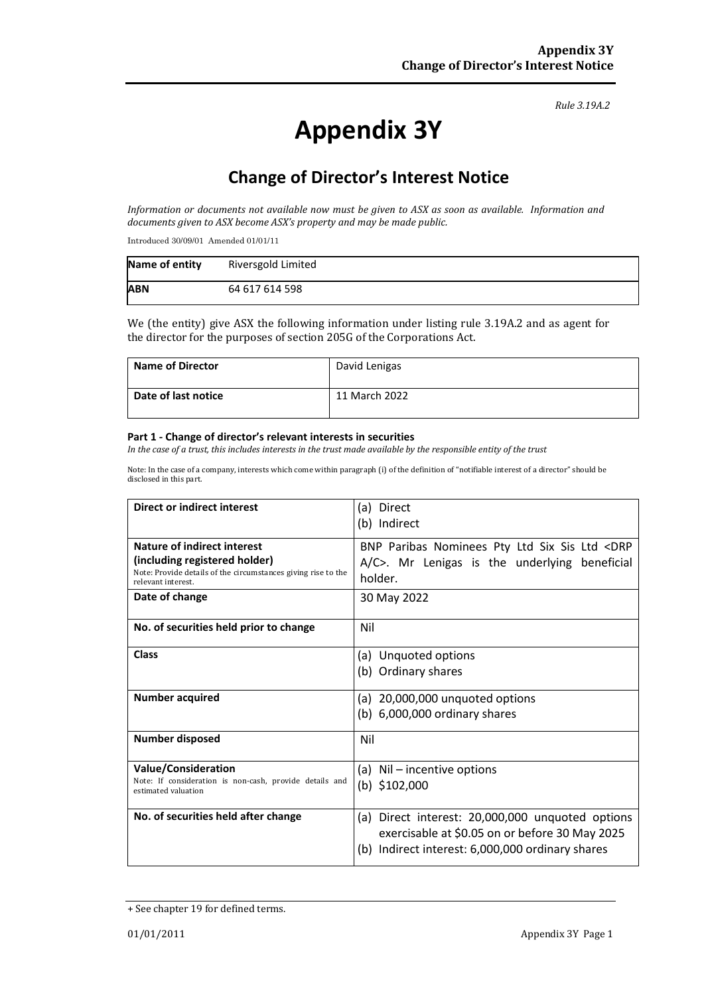#### *Rule 3.19A.2*

# **Appendix 3Y**

# **Change of Director's Interest Notice**

*Information or documents not available now must be given to ASX as soon as available. Information and documents given to ASX become ASX's property and may be made public.*

Introduced 30/09/01 Amended 01/01/11

| Name of entity | Riversgold Limited |
|----------------|--------------------|
| <b>ABN</b>     | 64 617 614 598     |

We (the entity) give ASX the following information under listing rule 3.19A.2 and as agent for the director for the purposes of section 205G of the Corporations Act.

| <b>Name of Director</b> | David Lenigas |
|-------------------------|---------------|
| Date of last notice     | 11 March 2022 |

#### **Part 1 - Change of director's relevant interests in securities**

*In the case of a trust, this includes interests in the trust made available by the responsible entity of the trust*

Note: In the case of a company, interests which come within paragraph (i) of the definition of "notifiable interest of a director" should be disclosed in this part.

| Direct or indirect interest                                                         | (a) Direct                                                                                            |  |  |  |
|-------------------------------------------------------------------------------------|-------------------------------------------------------------------------------------------------------|--|--|--|
|                                                                                     | (b) Indirect                                                                                          |  |  |  |
| Nature of indirect interest<br>(including registered holder)                        | BNP Paribas Nominees Pty Ltd Six Sis Ltd <drp< th=""></drp<>                                          |  |  |  |
| Note: Provide details of the circumstances giving rise to the<br>relevant interest. | A/C>. Mr Lenigas is the underlying beneficial<br>holder.                                              |  |  |  |
| Date of change                                                                      | 30 May 2022                                                                                           |  |  |  |
| No. of securities held prior to change                                              | Nil                                                                                                   |  |  |  |
| <b>Class</b>                                                                        | (a) Unquoted options                                                                                  |  |  |  |
|                                                                                     | (b) Ordinary shares                                                                                   |  |  |  |
| <b>Number acquired</b>                                                              | (a) 20,000,000 unquoted options                                                                       |  |  |  |
|                                                                                     | (b) $6,000,000$ ordinary shares                                                                       |  |  |  |
| <b>Number disposed</b>                                                              | Nil                                                                                                   |  |  |  |
| <b>Value/Consideration</b>                                                          | (a) Nil – incentive options                                                                           |  |  |  |
| Note: If consideration is non-cash, provide details and<br>estimated valuation      | (b) $$102,000$                                                                                        |  |  |  |
| No. of securities held after change                                                 | Direct interest: 20,000,000 unquoted options<br>(a)                                                   |  |  |  |
|                                                                                     | exercisable at \$0.05 on or before 30 May 2025<br>Indirect interest: 6,000,000 ordinary shares<br>(b) |  |  |  |

<sup>+</sup> See chapter 19 for defined terms.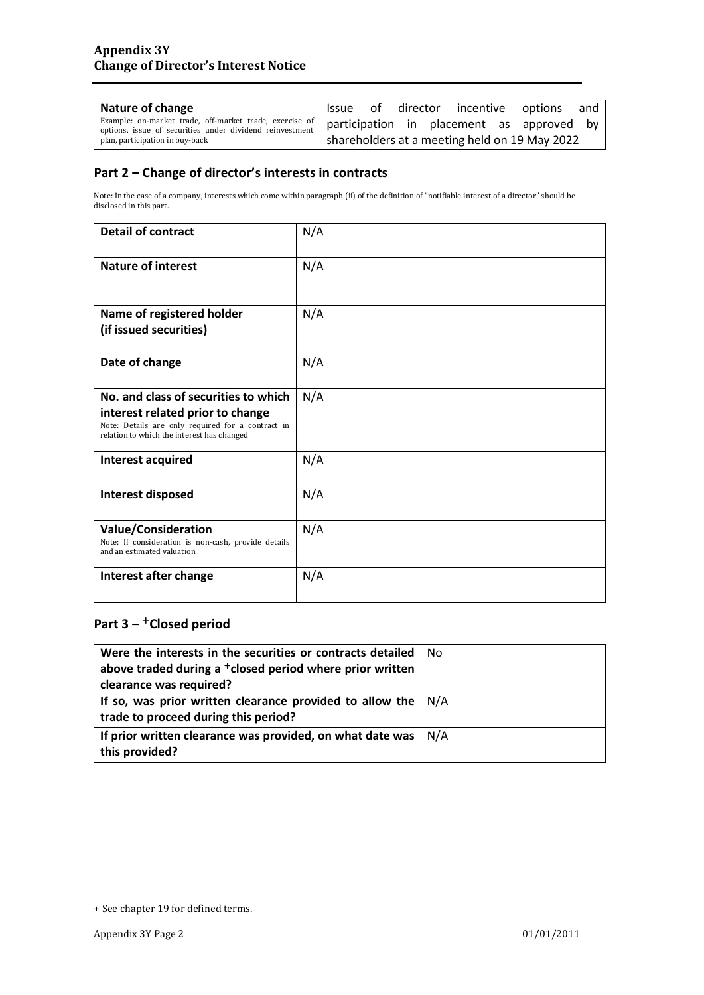| Nature of change                                                                                                                                              |                                               |  |  |  |  | Issue of director incentive options | and |
|---------------------------------------------------------------------------------------------------------------------------------------------------------------|-----------------------------------------------|--|--|--|--|-------------------------------------|-----|
| Example: on-market trade, off-market trade, exercise of participation in placement as approved by<br>options, issue of securities under dividend reinvestment |                                               |  |  |  |  |                                     |     |
| plan, participation in buy-back                                                                                                                               | shareholders at a meeting held on 19 May 2022 |  |  |  |  |                                     |     |

### **Part 2 – Change of director's interests in contracts**

Note: In the case of a company, interests which come within paragraph (ii) of the definition of "notifiable interest of a director" should be disclosed in this part.

| <b>Detail of contract</b>                                                                                                                                                   | N/A |
|-----------------------------------------------------------------------------------------------------------------------------------------------------------------------------|-----|
| <b>Nature of interest</b>                                                                                                                                                   | N/A |
| Name of registered holder<br>(if issued securities)                                                                                                                         | N/A |
| Date of change                                                                                                                                                              | N/A |
| No. and class of securities to which<br>interest related prior to change<br>Note: Details are only required for a contract in<br>relation to which the interest has changed | N/A |
| <b>Interest acquired</b>                                                                                                                                                    | N/A |
| Interest disposed                                                                                                                                                           | N/A |
| <b>Value/Consideration</b><br>Note: If consideration is non-cash, provide details<br>and an estimated valuation                                                             | N/A |
| Interest after change                                                                                                                                                       | N/A |

## **Part 3 –** +**Closed period**

| Were the interests in the securities or contracts detailed                   | No |
|------------------------------------------------------------------------------|----|
| above traded during a <sup>+</sup> closed period where prior written         |    |
| clearance was required?                                                      |    |
| If so, was prior written clearance provided to allow the $\vert N/A \rangle$ |    |
| trade to proceed during this period?                                         |    |
| If prior written clearance was provided, on what date was $\mid N/A \rangle$ |    |
| this provided?                                                               |    |

<sup>+</sup> See chapter 19 for defined terms.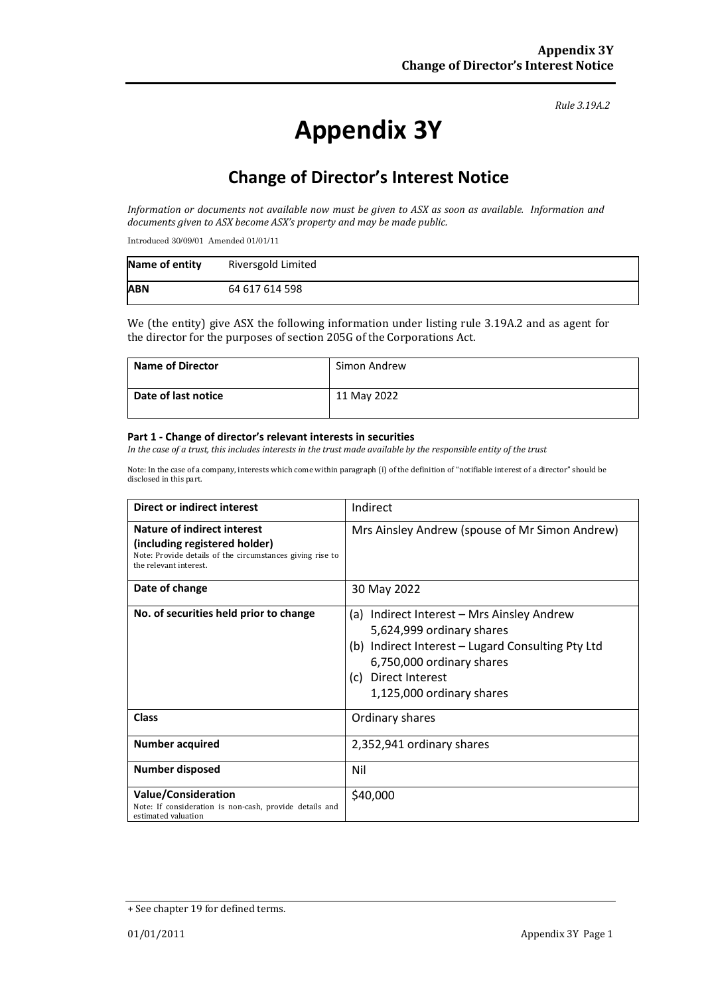#### *Rule 3.19A.2*

# **Appendix 3Y**

# **Change of Director's Interest Notice**

*Information or documents not available now must be given to ASX as soon as available. Information and documents given to ASX become ASX's property and may be made public.*

Introduced 30/09/01 Amended 01/01/11

| Name of entity | Riversgold Limited |
|----------------|--------------------|
| <b>ABN</b>     | 64 617 614 598     |

We (the entity) give ASX the following information under listing rule 3.19A.2 and as agent for the director for the purposes of section 205G of the Corporations Act.

| <b>Name of Director</b> | Simon Andrew |
|-------------------------|--------------|
| Date of last notice     | 11 May 2022  |

#### **Part 1 - Change of director's relevant interests in securities**

*In the case of a trust, this includes interests in the trust made available by the responsible entity of the trust*

Note: In the case of a company, interests which come within paragraph (i) of the definition of "notifiable interest of a director" should be disclosed in this part.

| Direct or indirect interest                                                                                                                         | Indirect                                                                                                                                                                                                              |  |  |
|-----------------------------------------------------------------------------------------------------------------------------------------------------|-----------------------------------------------------------------------------------------------------------------------------------------------------------------------------------------------------------------------|--|--|
| Nature of indirect interest<br>(including registered holder)<br>Note: Provide details of the circumstances giving rise to<br>the relevant interest. | Mrs Ainsley Andrew (spouse of Mr Simon Andrew)                                                                                                                                                                        |  |  |
| Date of change                                                                                                                                      | 30 May 2022                                                                                                                                                                                                           |  |  |
| No. of securities held prior to change                                                                                                              | Indirect Interest - Mrs Ainsley Andrew<br>(a)<br>5,624,999 ordinary shares<br>(b) Indirect Interest – Lugard Consulting Pty Ltd<br>6,750,000 ordinary shares<br>Direct Interest<br>(c) =<br>1,125,000 ordinary shares |  |  |
| Class                                                                                                                                               | Ordinary shares                                                                                                                                                                                                       |  |  |
| <b>Number acquired</b>                                                                                                                              | 2,352,941 ordinary shares                                                                                                                                                                                             |  |  |
| <b>Number disposed</b>                                                                                                                              | Nil                                                                                                                                                                                                                   |  |  |
| <b>Value/Consideration</b><br>Note: If consideration is non-cash, provide details and<br>estimated valuation                                        | \$40,000                                                                                                                                                                                                              |  |  |

<sup>+</sup> See chapter 19 for defined terms.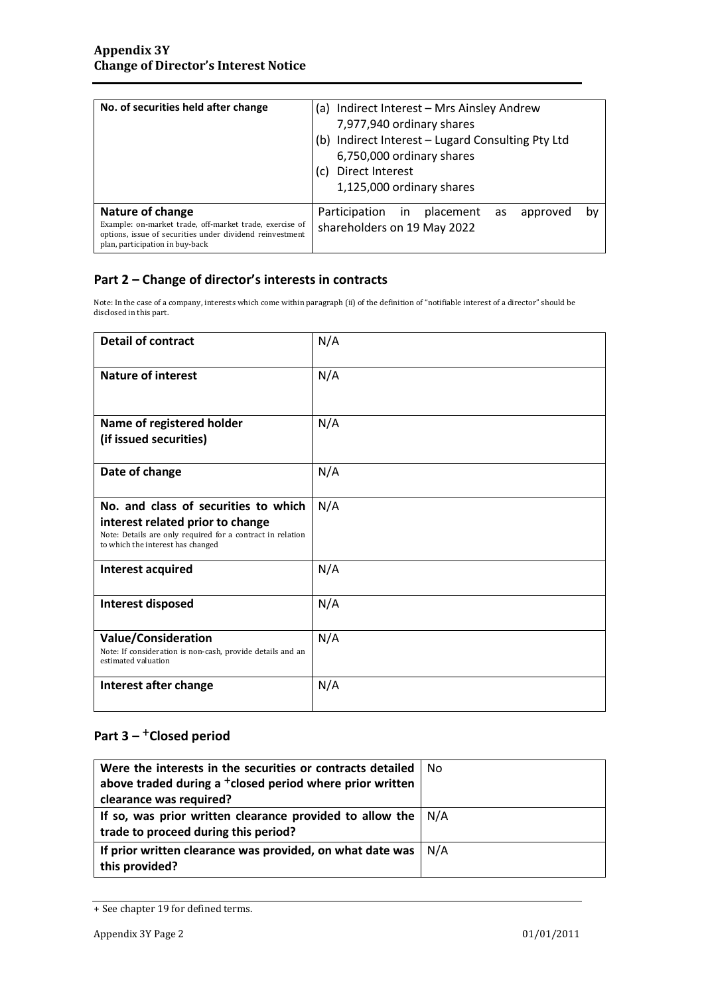| No. of securities held after change                                                                                                                                        | (a) Indirect Interest - Mrs Ainsley Andrew<br>7,977,940 ordinary shares<br>(b) Indirect Interest - Lugard Consulting Pty Ltd<br>6,750,000 ordinary shares<br>Direct Interest<br>(C)<br>1,125,000 ordinary shares |  |  |  |
|----------------------------------------------------------------------------------------------------------------------------------------------------------------------------|------------------------------------------------------------------------------------------------------------------------------------------------------------------------------------------------------------------|--|--|--|
| Nature of change<br>Example: on-market trade, off-market trade, exercise of<br>options, issue of securities under dividend reinvestment<br>plan, participation in buy-back | Participation in placement<br>approved<br>b٧<br>as<br>shareholders on 19 May 2022                                                                                                                                |  |  |  |

### **Part 2 – Change of director's interests in contracts**

Note: In the case of a company, interests which come within paragraph (ii) of the definition of "notifiable interest of a director" should be disclosed in this part.

| <b>Detail of contract</b>                                                                                                                                                   | N/A |
|-----------------------------------------------------------------------------------------------------------------------------------------------------------------------------|-----|
| <b>Nature of interest</b>                                                                                                                                                   | N/A |
| Name of registered holder<br>(if issued securities)                                                                                                                         | N/A |
| Date of change                                                                                                                                                              | N/A |
| No. and class of securities to which<br>interest related prior to change<br>Note: Details are only required for a contract in relation<br>to which the interest has changed | N/A |
| Interest acquired                                                                                                                                                           | N/A |
| <b>Interest disposed</b>                                                                                                                                                    | N/A |
| <b>Value/Consideration</b><br>Note: If consideration is non-cash, provide details and an<br>estimated valuation                                                             | N/A |
| Interest after change                                                                                                                                                       | N/A |

## **Part 3 –** +**Closed period**

| Were the interests in the securities or contracts detailed           | No |
|----------------------------------------------------------------------|----|
| above traded during a <sup>+</sup> closed period where prior written |    |
| clearance was required?                                              |    |
| If so, was prior written clearance provided to allow the $  N/A$     |    |
| trade to proceed during this period?                                 |    |
| If prior written clearance was provided, on what date was $ N/A $    |    |
| this provided?                                                       |    |

<sup>+</sup> See chapter 19 for defined terms.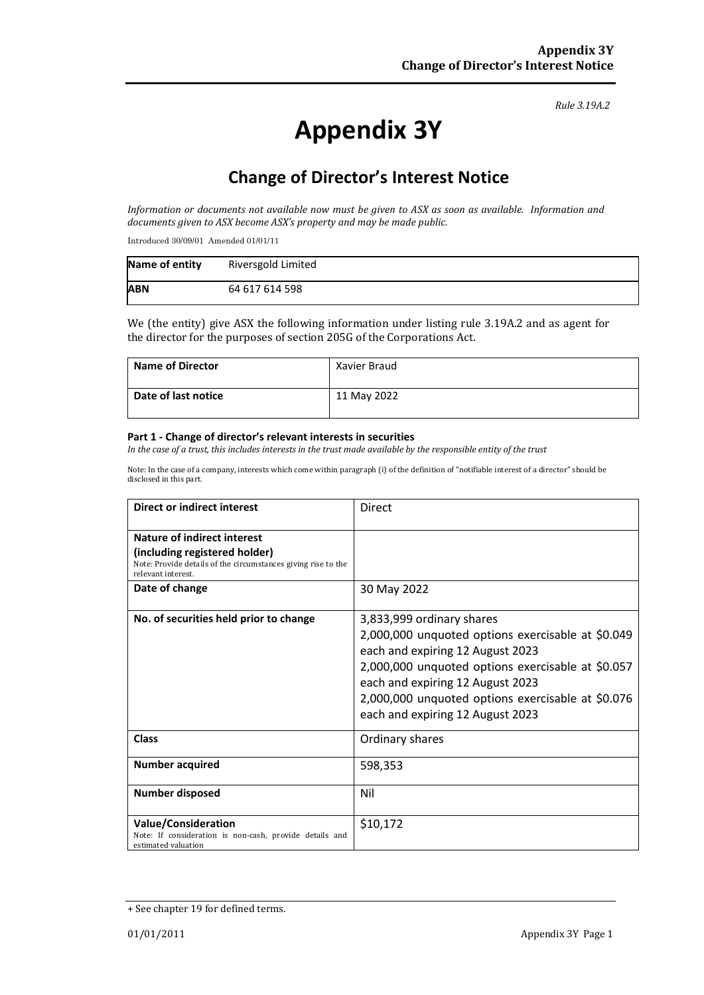#### *Rule 3.19A.2*

# **Appendix 3Y**

# **Change of Director's Interest Notice**

*Information or documents not available now must be given to ASX as soon as available. Information and documents given to ASX become ASX's property and may be made public.*

Introduced 30/09/01 Amended 01/01/11

| Name of entity | Riversgold Limited |
|----------------|--------------------|
| <b>ABN</b>     | 64 617 614 598     |

We (the entity) give ASX the following information under listing rule 3.19A.2 and as agent for the director for the purposes of section 205G of the Corporations Act.

| <b>Name of Director</b> | Xavier Braud |
|-------------------------|--------------|
| Date of last notice     | 11 May 2022  |

#### **Part 1 - Change of director's relevant interests in securities**

*In the case of a trust, this includes interests in the trust made available by the responsible entity of the trust*

Note: In the case of a company, interests which come within paragraph (i) of the definition of "notifiable interest of a director" should be disclosed in this part.

| <b>Direct or indirect interest</b>                                                                                                                  | Direct                                                                                                                                                                                                                                                                                               |
|-----------------------------------------------------------------------------------------------------------------------------------------------------|------------------------------------------------------------------------------------------------------------------------------------------------------------------------------------------------------------------------------------------------------------------------------------------------------|
| Nature of indirect interest<br>(including registered holder)<br>Note: Provide details of the circumstances giving rise to the<br>relevant interest. |                                                                                                                                                                                                                                                                                                      |
| Date of change                                                                                                                                      | 30 May 2022                                                                                                                                                                                                                                                                                          |
| No. of securities held prior to change                                                                                                              | 3,833,999 ordinary shares<br>2,000,000 unquoted options exercisable at \$0.049<br>each and expiring 12 August 2023<br>2,000,000 unquoted options exercisable at \$0.057<br>each and expiring 12 August 2023<br>2,000,000 unquoted options exercisable at \$0.076<br>each and expiring 12 August 2023 |
| Class                                                                                                                                               | Ordinary shares                                                                                                                                                                                                                                                                                      |
| <b>Number acquired</b>                                                                                                                              | 598,353                                                                                                                                                                                                                                                                                              |
| <b>Number disposed</b>                                                                                                                              | Nil                                                                                                                                                                                                                                                                                                  |
| <b>Value/Consideration</b><br>Note: If consideration is non-cash, provide details and<br>estimated valuation                                        | \$10,172                                                                                                                                                                                                                                                                                             |

<sup>+</sup> See chapter 19 for defined terms.